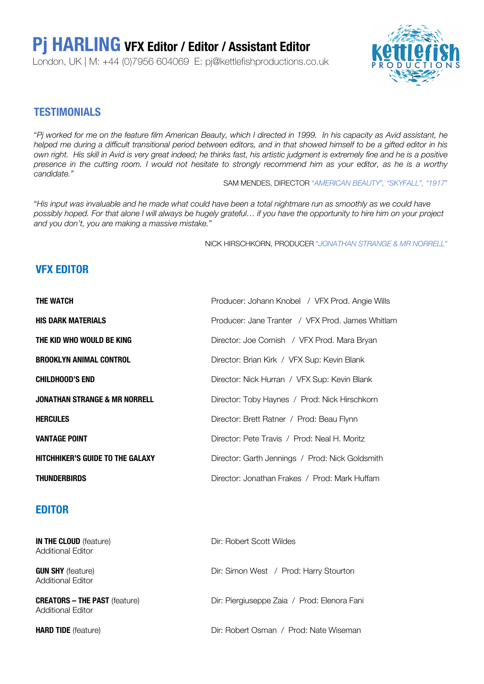# **Pj HARLING VFX Editor / Editor / Assistant Editor**

London, UK | M: +44 (0)7956 604069 E: pj@kettlefishproductions.co.uk



### **TESTIMONIALS**

"*Pj worked for me on the feature film American Beauty, which I directed in 1999. In his capacity as Avid assistant, he helped me during a difficult transitional period between editors, and in that showed himself to be a gifted editor in his own right. His skill in Avid is very great indeed; he thinks fast, his artistic judgment is extremely fine and he is a positive presence in the cutting room. I would not hesitate to strongly recommend him as your editor, as he is a worthy candidate."* 

SAM MENDES, DIRECTOR "*AMERICAN BEAUTY", "SKYFALL", "1917*"

"*His input was invaluable and he made what could have been a total nightmare run as smoothly as we could have possibly hoped. For that alone I will always be hugely grateful… if you have the opportunity to hire him on your project and you don't, you are making a massive mistake."*

NICK HIRSCHKORN, PRODUCER "*JONATHAN STRANGE & MR NORRELL*"

## **VFX EDITOR**

| <b>THE WATCH</b>                         | Producer: Johann Knobel / VFX Prod. Angie Wills  |
|------------------------------------------|--------------------------------------------------|
| <b>HIS DARK MATERIALS</b>                | Producer: Jane Tranter / VFX Prod. James Whitlam |
| THE KID WHO WOULD BE KING                | Director: Joe Cornish / VFX Prod. Mara Bryan     |
| <b>BROOKLYN ANIMAL CONTROL</b>           | Director: Brian Kirk / VFX Sup: Kevin Blank      |
| <b>CHILDHOOD'S END</b>                   | Director: Nick Hurran / VFX Sup: Kevin Blank     |
| <b>JONATHAN STRANGE &amp; MR NORRELL</b> | Director: Toby Haynes / Prod: Nick Hirschkorn    |
| <b>HERCULES</b>                          | Director: Brett Ratner / Prod: Beau Flynn        |
| <b>VANTAGE POINT</b>                     | Director: Pete Travis / Prod: Neal H. Moritz     |
| <b>HITCHHIKER'S GUIDE TO THE GALAXY</b>  | Director: Garth Jennings / Prod: Nick Goldsmith  |
| <b>THUNDERBIRDS</b>                      | Director: Jonathan Frakes / Prod: Mark Huffam    |

#### **EDITOR**

| <b>IN THE CLOUD</b> (feature)<br>Additional Editor        | Dir: Robert Scott Wildes                    |
|-----------------------------------------------------------|---------------------------------------------|
| <b>GUN SHY</b> (feature)<br><b>Additional Editor</b>      | Dir: Simon West / Prod: Harry Stourton      |
| <b>CREATORS - THE PAST</b> (feature)<br>Additional Editor | Dir: Piergiuseppe Zaia / Prod: Elenora Fani |
| <b>HARD TIDE</b> (feature)                                | Dir: Robert Osman / Prod: Nate Wiseman      |